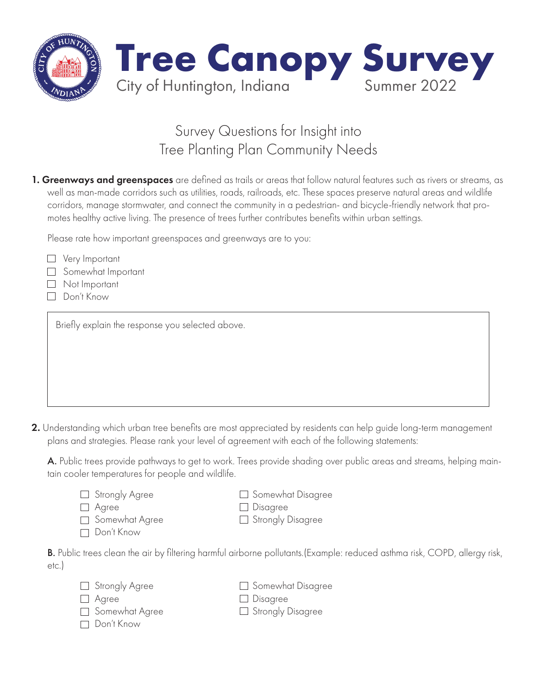

## Survey Questions for Insight into Tree Planting Plan Community Needs

1. Greenways and greenspaces are defined as trails or areas that follow natural features such as rivers or streams, as well as man-made corridors such as utilities, roads, railroads, etc. These spaces preserve natural areas and wildlife corridors, manage stormwater, and connect the community in a pedestrian- and bicycle-friendly network that promotes healthy active living. The presence of trees further contributes benefits within urban settings.

Please rate how important greenspaces and greenways are to you:

|  | Very Important |
|--|----------------|
|  |                |

|  | Somewhat Important |  |
|--|--------------------|--|
|--|--------------------|--|

- Not Important
- Don't Know

Briefly explain the response you selected above.

2. Understanding which urban tree benefits are most appreciated by residents can help guide long-term management plans and strategies. Please rank your level of agreement with each of the following statements:

A. Public trees provide pathways to get to work. Trees provide shading over public areas and streams, helping maintain cooler temperatures for people and wildlife.

- □ Strongly Agree Somewhat Disagree
- □ Agree Disagree
- $\Box$  Somewhat Agree  $\Box$  Strongly Disagree
- Don't Know

B. Public trees clean the air by filtering harmful airborne pollutants.(Example: reduced asthma risk, COPD, allergy risk, etc.)

- □ Agree Disagree
- 
- 
- $\Box$  Somewhat Disagree
- 
- Don't Know
- $\Box$  Somewhat Agree  $\Box$  Strongly Disagree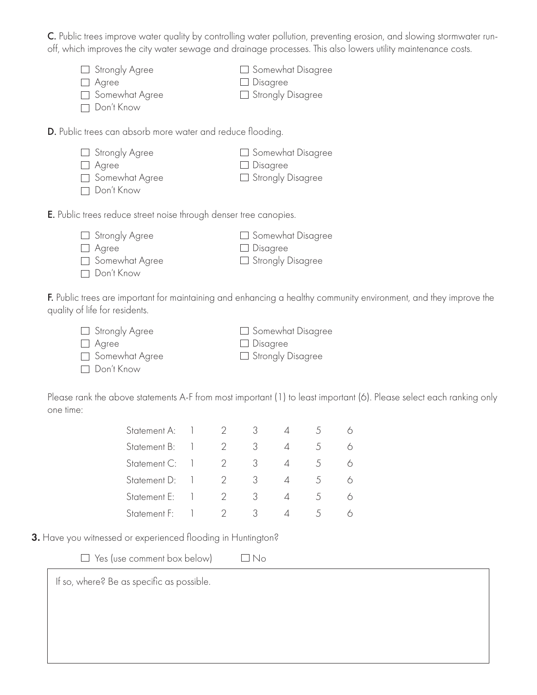C. Public trees improve water quality by controlling water pollution, preventing erosion, and slowing stormwater runoff, which improves the city water sewage and drainage processes. This also lowers utility maintenance costs.

- □ Strongly Agree Somewhat Disagree
- □ Agree Disagree
- □ Somewhat Agree Strongly Disagree
- Don't Know

D. Public trees can absorb more water and reduce flooding.

- $\Box$  Strongly Agree  $\Box$  Somewhat Disagree
- □ Agree Disagree
- 
- □ Somewhat Agree Strongly Disagree
- Don't Know
- 
- E. Public trees reduce street noise through denser tree canopies.
	- $\Box$  Strongly Agree  $\Box$  Somewhat Disagree □ Agree Disagree
	- □ Somewhat Agree Strongly Disagree
	- Don't Know

F. Public trees are important for maintaining and enhancing a healthy community environment, and they improve the quality of life for residents.

 $\Box$  Strongly Agree  $\Box$  Somewhat Disagree □ Agree Disagree □ Somewhat Agree Strongly Disagree

Don't Know

Please rank the above statements A-F from most important (1) to least important (6). Please select each ranking only one time:

| Statement A: 1 2 3 |                     |   | 4              |         |   |
|--------------------|---------------------|---|----------------|---------|---|
| Statement B: 1 2 3 |                     |   | $\overline{A}$ |         | 6 |
| Statement C: 1 2 3 |                     |   | $\overline{A}$ | $\circ$ |   |
| Statement D: 1 2 3 |                     |   | $\overline{4}$ |         |   |
| Statement E:       | $1 \quad 2 \quad 3$ |   | $\overline{A}$ |         |   |
| Statement F:       | $\mathcal{P}$       | 3 |                |         |   |

3. Have you witnessed or experienced flooding in Huntington?

 $\Box$  Yes (use comment box below)  $\Box$  No

If so, where? Be as specific as possible.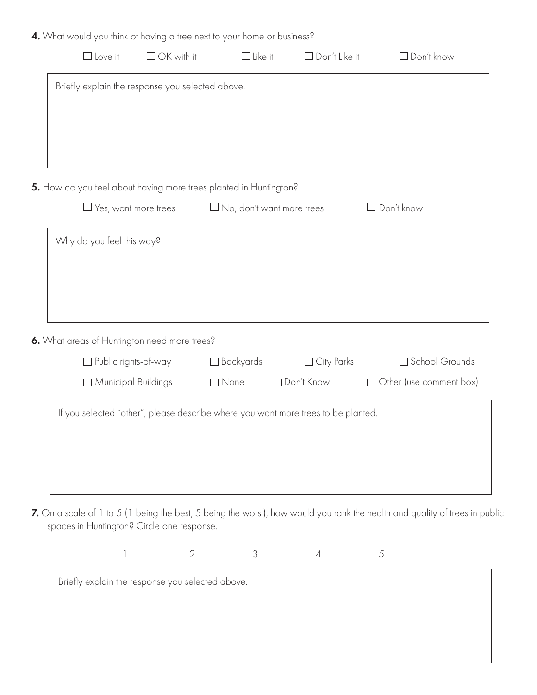4. What would you think of having a tree next to your home or business?

| $\Box$ Love it              | $\Box$ OK with it                                                                 | $\Box$ Like it   |                                  | $\Box$ Don't Like it | Don't know                     |
|-----------------------------|-----------------------------------------------------------------------------------|------------------|----------------------------------|----------------------|--------------------------------|
|                             | Briefly explain the response you selected above.                                  |                  |                                  |                      |                                |
|                             |                                                                                   |                  |                                  |                      |                                |
|                             |                                                                                   |                  |                                  |                      |                                |
|                             |                                                                                   |                  |                                  |                      |                                |
|                             | 5. How do you feel about having more trees planted in Huntington?                 |                  |                                  |                      |                                |
| $\Box$ Yes, want more trees |                                                                                   |                  | $\Box$ No, don't want more trees |                      | $\Box$ Don't know              |
| Why do you feel this way?   |                                                                                   |                  |                                  |                      |                                |
|                             |                                                                                   |                  |                                  |                      |                                |
|                             |                                                                                   |                  |                                  |                      |                                |
|                             |                                                                                   |                  |                                  |                      |                                |
|                             | 6. What areas of Huntington need more trees?                                      |                  |                                  |                      |                                |
| $\Box$ Public rights-of-way |                                                                                   | $\Box$ Backyards | □ City Parks                     |                      | School Grounds                 |
| Municipal Buildings         |                                                                                   | $\Box$ None      | Don't Know                       |                      | $\Box$ Other (use comment box) |
|                             | If you selected "other", please describe where you want more trees to be planted. |                  |                                  |                      |                                |

7. On a scale of 1 to 5 (1 being the best, 5 being the worst), how would you rank the health and quality of trees in public spaces in Huntington? Circle one response.

| Briefly explain the response you selected above. |  |  |  |  |  |  |  |
|--------------------------------------------------|--|--|--|--|--|--|--|
|                                                  |  |  |  |  |  |  |  |
|                                                  |  |  |  |  |  |  |  |
|                                                  |  |  |  |  |  |  |  |
|                                                  |  |  |  |  |  |  |  |